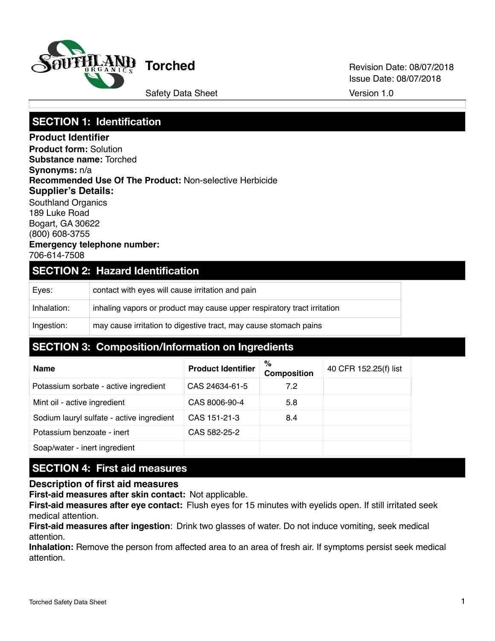

**Torched** Revision Date: 08/07/2018 Issue Date: 08/07/2018

# **SECTION 1: Identification**

**Product Identifier Product form:** Solution **Substance name:** Torched **Synonyms:** n/a **Recommended Use Of The Product:** Non-selective Herbicide **Supplier's Details:** Southland Organics 189 Luke Road Bogart, GA 30622 (800) 608-3755 **Emergency telephone number:** 706-614-7508

### **SECTION 2: Hazard Identification**

| Eves:       | contact with eyes will cause irritation and pain                        |
|-------------|-------------------------------------------------------------------------|
| Inhalation: | inhaling vapors or product may cause upper respiratory tract irritation |
| Ingestion:  | may cause irritation to digestive tract, may cause stomach pains        |

# **SECTION 3: Composition/Information on Ingredients**

| <b>Name</b>                               | <b>Product Identifier</b> | %<br><b>Composition</b> | 40 CFR 152.25(f) list |
|-------------------------------------------|---------------------------|-------------------------|-----------------------|
| Potassium sorbate - active ingredient     | CAS 24634-61-5            | 7.2                     |                       |
| Mint oil - active ingredient              | CAS 8006-90-4             | 5.8                     |                       |
| Sodium lauryl sulfate - active ingredient | CAS 151-21-3              | 8.4                     |                       |
| Potassium benzoate - inert                | CAS 582-25-2              |                         |                       |
| Soap/water - inert ingredient             |                           |                         |                       |

# **SECTION 4: First aid measures**

### **Description of first aid measures**

**First-aid measures after skin contact:** Not applicable.

**First-aid measures after eye contact:** Flush eyes for 15 minutes with eyelids open. If still irritated seek medical attention.

**First-aid measures after ingestion**: Drink two glasses of water. Do not induce vomiting, seek medical attention.

**Inhalation:** Remove the person from affected area to an area of fresh air. If symptoms persist seek medical attention.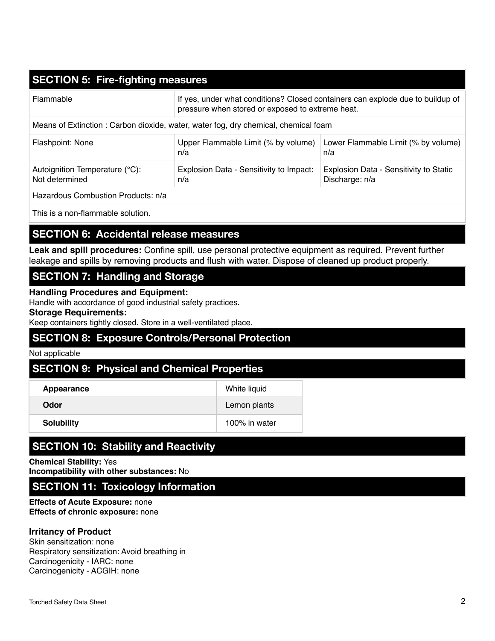# **SECTION 5: Fire-fighting measures**

| Flammable                                                                          | If yes, under what conditions? Closed containers can explode due to buildup of<br>pressure when stored or exposed to extreme heat. |                                                          |  |  |  |  |
|------------------------------------------------------------------------------------|------------------------------------------------------------------------------------------------------------------------------------|----------------------------------------------------------|--|--|--|--|
| Means of Extinction: Carbon dioxide, water, water fog, dry chemical, chemical foam |                                                                                                                                    |                                                          |  |  |  |  |
| Flashpoint: None                                                                   | Upper Flammable Limit (% by volume)<br>n/a                                                                                         | Lower Flammable Limit (% by volume)<br>n/a               |  |  |  |  |
| Autoignition Temperature (°C):<br>Not determined                                   | Explosion Data - Sensitivity to Impact:<br>n/a                                                                                     | Explosion Data - Sensitivity to Static<br>Discharge: n/a |  |  |  |  |
| Hazardous Combustion Products: n/a                                                 |                                                                                                                                    |                                                          |  |  |  |  |

This is a non-flammable solution.

## **SECTION 6: Accidental release measures**

**Leak and spill procedures:** Confine spill, use personal protective equipment as required. Prevent further leakage and spills by removing products and flush with water. Dispose of cleaned up product properly.

# **SECTION 7: Handling and Storage**

**Handling Procedures and Equipment:**

Handle with accordance of good industrial safety practices.

#### **Storage Requirements:**

Keep containers tightly closed. Store in a well-ventilated place.

## **SECTION 8: Exposure Controls/Personal Protection**

#### Not applicable

## **SECTION 9: Physical and Chemical Properties**

| Appearance        | White liquid  |
|-------------------|---------------|
| Odor              | Lemon plants  |
| <b>Solubility</b> | 100% in water |

# **SECTION 10: Stability and Reactivity**

**Chemical Stability:** Yes **Incompatibility with other substances:** No

# **SECTION 11: Toxicology Information**

**Effects of Acute Exposure:** none **Effects of chronic exposure:** none

#### **Irritancy of Product**

Skin sensitization: none Respiratory sensitization: Avoid breathing in Carcinogenicity - IARC: none Carcinogenicity - ACGIH: none